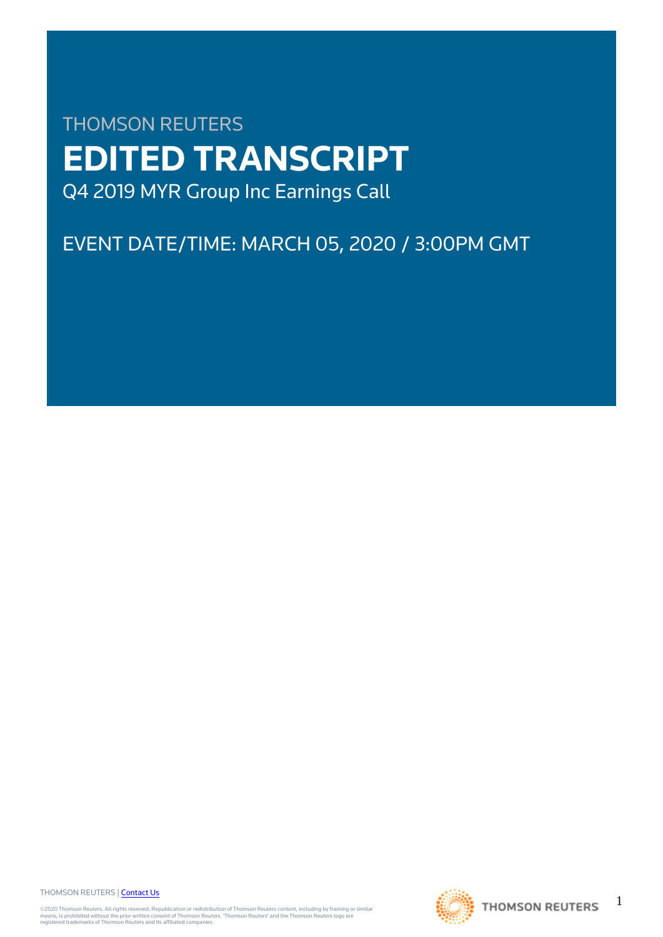# THOMSON REUTERS **EDITED TRANSCRIPT** Q4 2019 MYR Group Inc Earnings Call

## EVENT DATE/TIME: MARCH 05, 2020 / 3:00PM GMT

THOMSON REUTERS | [Contact Us](https://my.thomsonreuters.com/ContactUsNew)

©2020 Thomson Reuters. All rights reserved. Republication or redistribution of Thomson Reuters content, including by framing or similar<br>means, is prohibited without the prior written consent of Thomson Reuters. 'Thomson Re



1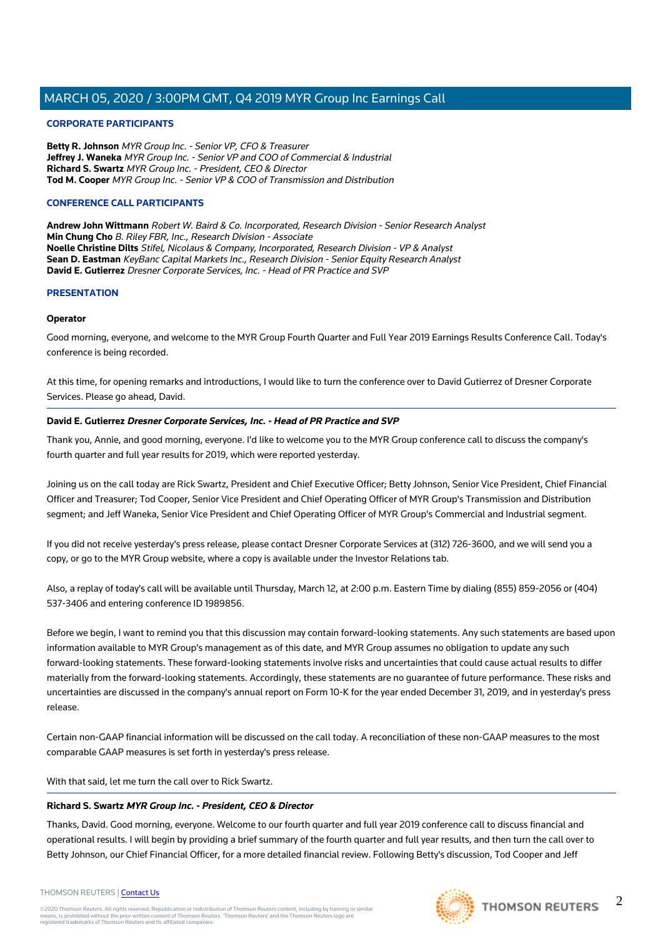#### **CORPORATE PARTICIPANTS**

**Betty R. Johnson** MYR Group Inc. - Senior VP, CFO & Treasurer **Jeffrey J. Waneka** MYR Group Inc. - Senior VP and COO of Commercial & Industrial **Richard S. Swartz** MYR Group Inc. - President, CEO & Director **Tod M. Cooper** MYR Group Inc. - Senior VP & COO of Transmission and Distribution

#### **CONFERENCE CALL PARTICIPANTS**

**Andrew John Wittmann** Robert W. Baird & Co. Incorporated, Research Division - Senior Research Analyst **Min Chung Cho** B. Riley FBR, Inc., Research Division - Associate **Noelle Christine Dilts** Stifel, Nicolaus & Company, Incorporated, Research Division - VP & Analyst **Sean D. Eastman** KeyBanc Capital Markets Inc., Research Division - Senior Equity Research Analyst **David E. Gutierrez** Dresner Corporate Services, Inc. - Head of PR Practice and SVP

#### **PRESENTATION**

#### **Operator**

Good morning, everyone, and welcome to the MYR Group Fourth Quarter and Full Year 2019 Earnings Results Conference Call. Today's conference is being recorded.

At this time, for opening remarks and introductions, I would like to turn the conference over to David Gutierrez of Dresner Corporate Services. Please go ahead, David.

#### **David E. Gutierrez Dresner Corporate Services, Inc. - Head of PR Practice and SVP**

Thank you, Annie, and good morning, everyone. I'd like to welcome you to the MYR Group conference call to discuss the company's fourth quarter and full year results for 2019, which were reported yesterday.

Joining us on the call today are Rick Swartz, President and Chief Executive Officer; Betty Johnson, Senior Vice President, Chief Financial Officer and Treasurer; Tod Cooper, Senior Vice President and Chief Operating Officer of MYR Group's Transmission and Distribution segment; and Jeff Waneka, Senior Vice President and Chief Operating Officer of MYR Group's Commercial and Industrial segment.

If you did not receive yesterday's press release, please contact Dresner Corporate Services at (312) 726-3600, and we will send you a copy, or go to the MYR Group website, where a copy is available under the Investor Relations tab.

Also, a replay of today's call will be available until Thursday, March 12, at 2:00 p.m. Eastern Time by dialing (855) 859-2056 or (404) 537-3406 and entering conference ID 1989856.

Before we begin, I want to remind you that this discussion may contain forward-looking statements. Any such statements are based upon information available to MYR Group's management as of this date, and MYR Group assumes no obligation to update any such forward-looking statements. These forward-looking statements involve risks and uncertainties that could cause actual results to differ materially from the forward-looking statements. Accordingly, these statements are no guarantee of future performance. These risks and uncertainties are discussed in the company's annual report on Form 10-K for the year ended December 31, 2019, and in yesterday's press release.

Certain non-GAAP financial information will be discussed on the call today. A reconciliation of these non-GAAP measures to the most comparable GAAP measures is set forth in yesterday's press release.

With that said, let me turn the call over to Rick Swartz.

#### **Richard S. Swartz MYR Group Inc. - President, CEO & Director**

Thanks, David. Good morning, everyone. Welcome to our fourth quarter and full year 2019 conference call to discuss financial and operational results. I will begin by providing a brief summary of the fourth quarter and full year results, and then turn the call over to Betty Johnson, our Chief Financial Officer, for a more detailed financial review. Following Betty's discussion, Tod Cooper and Jeff

#### THOMSON REUTERS | [Contact Us](https://my.thomsonreuters.com/ContactUsNew)

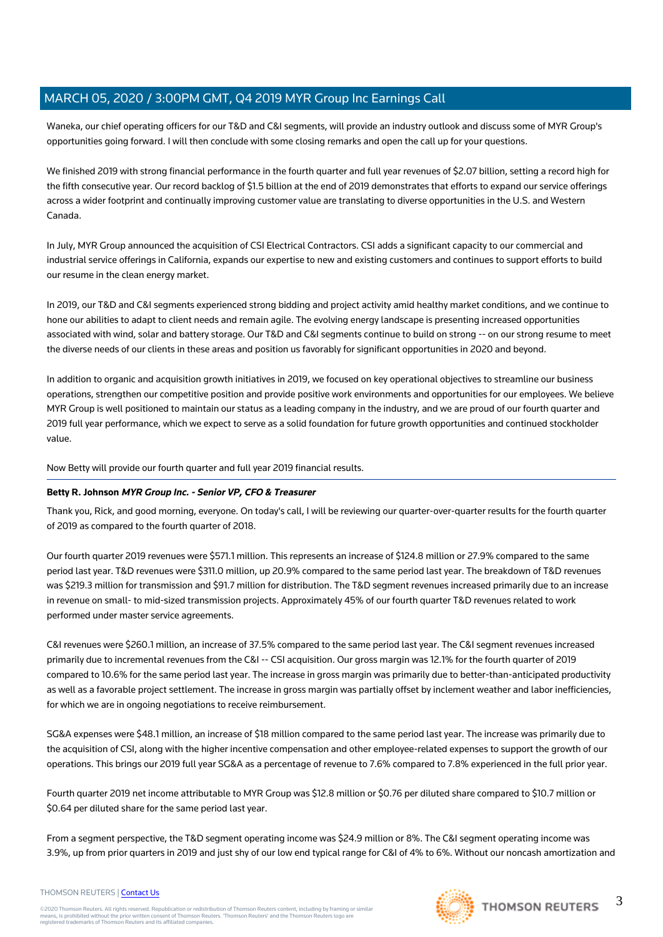Waneka, our chief operating officers for our T&D and C&I segments, will provide an industry outlook and discuss some of MYR Group's opportunities going forward. I will then conclude with some closing remarks and open the call up for your questions.

We finished 2019 with strong financial performance in the fourth quarter and full year revenues of \$2.07 billion, setting a record high for the fifth consecutive year. Our record backlog of \$1.5 billion at the end of 2019 demonstrates that efforts to expand our service offerings across a wider footprint and continually improving customer value are translating to diverse opportunities in the U.S. and Western Canada.

In July, MYR Group announced the acquisition of CSI Electrical Contractors. CSI adds a significant capacity to our commercial and industrial service offerings in California, expands our expertise to new and existing customers and continues to support efforts to build our resume in the clean energy market.

In 2019, our T&D and C&I segments experienced strong bidding and project activity amid healthy market conditions, and we continue to hone our abilities to adapt to client needs and remain agile. The evolving energy landscape is presenting increased opportunities associated with wind, solar and battery storage. Our T&D and C&I segments continue to build on strong -- on our strong resume to meet the diverse needs of our clients in these areas and position us favorably for significant opportunities in 2020 and beyond.

In addition to organic and acquisition growth initiatives in 2019, we focused on key operational objectives to streamline our business operations, strengthen our competitive position and provide positive work environments and opportunities for our employees. We believe MYR Group is well positioned to maintain our status as a leading company in the industry, and we are proud of our fourth quarter and 2019 full year performance, which we expect to serve as a solid foundation for future growth opportunities and continued stockholder value.

Now Betty will provide our fourth quarter and full year 2019 financial results.

#### **Betty R. Johnson MYR Group Inc. - Senior VP, CFO & Treasurer**

Thank you, Rick, and good morning, everyone. On today's call, I will be reviewing our quarter-over-quarter results for the fourth quarter of 2019 as compared to the fourth quarter of 2018.

Our fourth quarter 2019 revenues were \$571.1 million. This represents an increase of \$124.8 million or 27.9% compared to the same period last year. T&D revenues were \$311.0 million, up 20.9% compared to the same period last year. The breakdown of T&D revenues was \$219.3 million for transmission and \$91.7 million for distribution. The T&D segment revenues increased primarily due to an increase in revenue on small- to mid-sized transmission projects. Approximately 45% of our fourth quarter T&D revenues related to work performed under master service agreements.

C&I revenues were \$260.1 million, an increase of 37.5% compared to the same period last year. The C&I segment revenues increased primarily due to incremental revenues from the C&I -- CSI acquisition. Our gross margin was 12.1% for the fourth quarter of 2019 compared to 10.6% for the same period last year. The increase in gross margin was primarily due to better-than-anticipated productivity as well as a favorable project settlement. The increase in gross margin was partially offset by inclement weather and labor inefficiencies, for which we are in ongoing negotiations to receive reimbursement.

SG&A expenses were \$48.1 million, an increase of \$18 million compared to the same period last year. The increase was primarily due to the acquisition of CSI, along with the higher incentive compensation and other employee-related expenses to support the growth of our operations. This brings our 2019 full year SG&A as a percentage of revenue to 7.6% compared to 7.8% experienced in the full prior year.

Fourth quarter 2019 net income attributable to MYR Group was \$12.8 million or \$0.76 per diluted share compared to \$10.7 million or \$0.64 per diluted share for the same period last year.

From a segment perspective, the T&D segment operating income was \$24.9 million or 8%. The C&I segment operating income was 3.9%, up from prior quarters in 2019 and just shy of our low end typical range for C&I of 4% to 6%. Without our noncash amortization and



3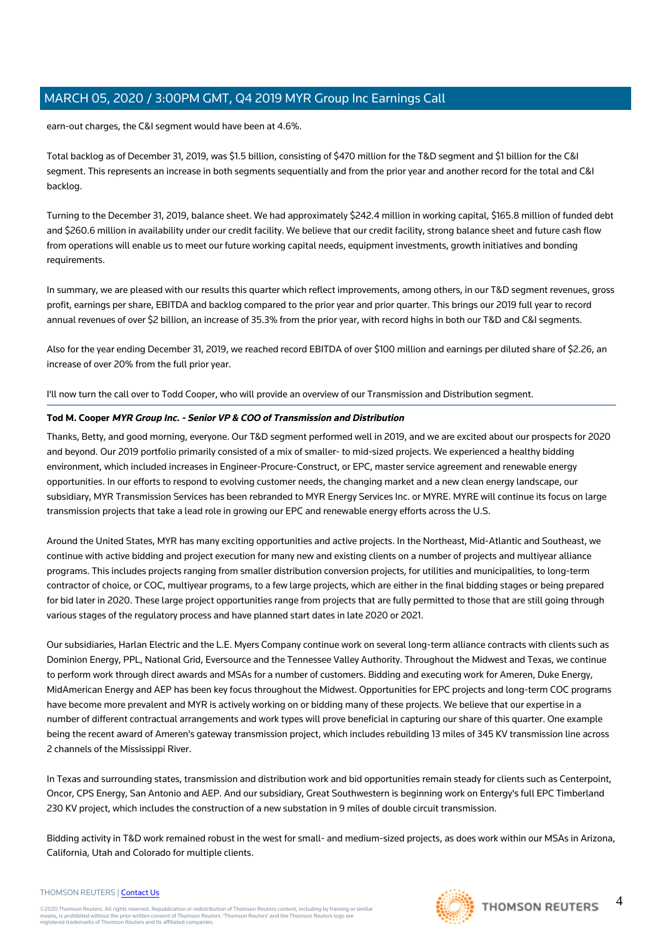earn-out charges, the C&I segment would have been at 4.6%.

Total backlog as of December 31, 2019, was \$1.5 billion, consisting of \$470 million for the T&D segment and \$1 billion for the C&I segment. This represents an increase in both segments sequentially and from the prior year and another record for the total and C&I backlog.

Turning to the December 31, 2019, balance sheet. We had approximately \$242.4 million in working capital, \$165.8 million of funded debt and \$260.6 million in availability under our credit facility. We believe that our credit facility, strong balance sheet and future cash flow from operations will enable us to meet our future working capital needs, equipment investments, growth initiatives and bonding requirements.

In summary, we are pleased with our results this quarter which reflect improvements, among others, in our T&D segment revenues, gross profit, earnings per share, EBITDA and backlog compared to the prior year and prior quarter. This brings our 2019 full year to record annual revenues of over \$2 billion, an increase of 35.3% from the prior year, with record highs in both our T&D and C&I segments.

Also for the year ending December 31, 2019, we reached record EBITDA of over \$100 million and earnings per diluted share of \$2.26, an increase of over 20% from the full prior year.

I'll now turn the call over to Todd Cooper, who will provide an overview of our Transmission and Distribution segment.

#### **Tod M. Cooper MYR Group Inc. - Senior VP & COO of Transmission and Distribution**

Thanks, Betty, and good morning, everyone. Our T&D segment performed well in 2019, and we are excited about our prospects for 2020 and beyond. Our 2019 portfolio primarily consisted of a mix of smaller- to mid-sized projects. We experienced a healthy bidding environment, which included increases in Engineer-Procure-Construct, or EPC, master service agreement and renewable energy opportunities. In our efforts to respond to evolving customer needs, the changing market and a new clean energy landscape, our subsidiary, MYR Transmission Services has been rebranded to MYR Energy Services Inc. or MYRE. MYRE will continue its focus on large transmission projects that take a lead role in growing our EPC and renewable energy efforts across the U.S.

Around the United States, MYR has many exciting opportunities and active projects. In the Northeast, Mid-Atlantic and Southeast, we continue with active bidding and project execution for many new and existing clients on a number of projects and multiyear alliance programs. This includes projects ranging from smaller distribution conversion projects, for utilities and municipalities, to long-term contractor of choice, or COC, multiyear programs, to a few large projects, which are either in the final bidding stages or being prepared for bid later in 2020. These large project opportunities range from projects that are fully permitted to those that are still going through various stages of the regulatory process and have planned start dates in late 2020 or 2021.

Our subsidiaries, Harlan Electric and the L.E. Myers Company continue work on several long-term alliance contracts with clients such as Dominion Energy, PPL, National Grid, Eversource and the Tennessee Valley Authority. Throughout the Midwest and Texas, we continue to perform work through direct awards and MSAs for a number of customers. Bidding and executing work for Ameren, Duke Energy, MidAmerican Energy and AEP has been key focus throughout the Midwest. Opportunities for EPC projects and long-term COC programs have become more prevalent and MYR is actively working on or bidding many of these projects. We believe that our expertise in a number of different contractual arrangements and work types will prove beneficial in capturing our share of this quarter. One example being the recent award of Ameren's gateway transmission project, which includes rebuilding 13 miles of 345 KV transmission line across 2 channels of the Mississippi River.

In Texas and surrounding states, transmission and distribution work and bid opportunities remain steady for clients such as Centerpoint, Oncor, CPS Energy, San Antonio and AEP. And our subsidiary, Great Southwestern is beginning work on Entergy's full EPC Timberland 230 KV project, which includes the construction of a new substation in 9 miles of double circuit transmission.

Bidding activity in T&D work remained robust in the west for small- and medium-sized projects, as does work within our MSAs in Arizona, California, Utah and Colorado for multiple clients.

#### THOMSON REUTERS | [Contact Us](https://my.thomsonreuters.com/ContactUsNew)

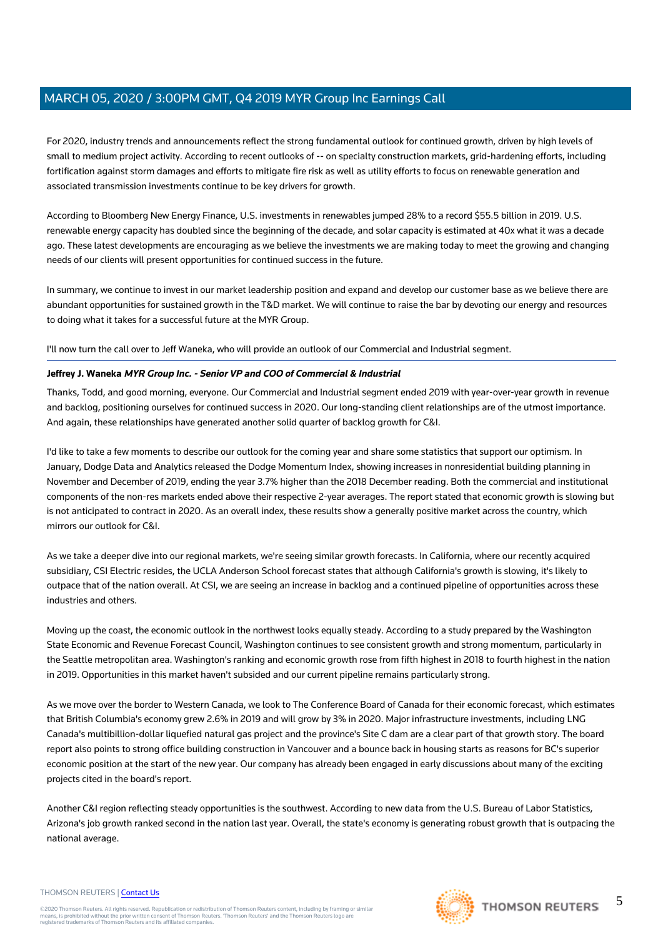For 2020, industry trends and announcements reflect the strong fundamental outlook for continued growth, driven by high levels of small to medium project activity. According to recent outlooks of -- on specialty construction markets, grid-hardening efforts, including fortification against storm damages and efforts to mitigate fire risk as well as utility efforts to focus on renewable generation and associated transmission investments continue to be key drivers for growth.

According to Bloomberg New Energy Finance, U.S. investments in renewables jumped 28% to a record \$55.5 billion in 2019. U.S. renewable energy capacity has doubled since the beginning of the decade, and solar capacity is estimated at 40x what it was a decade ago. These latest developments are encouraging as we believe the investments we are making today to meet the growing and changing needs of our clients will present opportunities for continued success in the future.

In summary, we continue to invest in our market leadership position and expand and develop our customer base as we believe there are abundant opportunities for sustained growth in the T&D market. We will continue to raise the bar by devoting our energy and resources to doing what it takes for a successful future at the MYR Group.

I'll now turn the call over to Jeff Waneka, who will provide an outlook of our Commercial and Industrial segment.

#### **Jeffrey J. Waneka MYR Group Inc. - Senior VP and COO of Commercial & Industrial**

Thanks, Todd, and good morning, everyone. Our Commercial and Industrial segment ended 2019 with year-over-year growth in revenue and backlog, positioning ourselves for continued success in 2020. Our long-standing client relationships are of the utmost importance. And again, these relationships have generated another solid quarter of backlog growth for C&I.

I'd like to take a few moments to describe our outlook for the coming year and share some statistics that support our optimism. In January, Dodge Data and Analytics released the Dodge Momentum Index, showing increases in nonresidential building planning in November and December of 2019, ending the year 3.7% higher than the 2018 December reading. Both the commercial and institutional components of the non-res markets ended above their respective 2-year averages. The report stated that economic growth is slowing but is not anticipated to contract in 2020. As an overall index, these results show a generally positive market across the country, which mirrors our outlook for C&I.

As we take a deeper dive into our regional markets, we're seeing similar growth forecasts. In California, where our recently acquired subsidiary, CSI Electric resides, the UCLA Anderson School forecast states that although California's growth is slowing, it's likely to outpace that of the nation overall. At CSI, we are seeing an increase in backlog and a continued pipeline of opportunities across these industries and others.

Moving up the coast, the economic outlook in the northwest looks equally steady. According to a study prepared by the Washington State Economic and Revenue Forecast Council, Washington continues to see consistent growth and strong momentum, particularly in the Seattle metropolitan area. Washington's ranking and economic growth rose from fifth highest in 2018 to fourth highest in the nation in 2019. Opportunities in this market haven't subsided and our current pipeline remains particularly strong.

As we move over the border to Western Canada, we look to The Conference Board of Canada for their economic forecast, which estimates that British Columbia's economy grew 2.6% in 2019 and will grow by 3% in 2020. Major infrastructure investments, including LNG Canada's multibillion-dollar liquefied natural gas project and the province's Site C dam are a clear part of that growth story. The board report also points to strong office building construction in Vancouver and a bounce back in housing starts as reasons for BC's superior economic position at the start of the new year. Our company has already been engaged in early discussions about many of the exciting projects cited in the board's report.

Another C&I region reflecting steady opportunities is the southwest. According to new data from the U.S. Bureau of Labor Statistics, Arizona's job growth ranked second in the nation last year. Overall, the state's economy is generating robust growth that is outpacing the national average.

#### THOMSON REUTERS | [Contact Us](https://my.thomsonreuters.com/ContactUsNew)

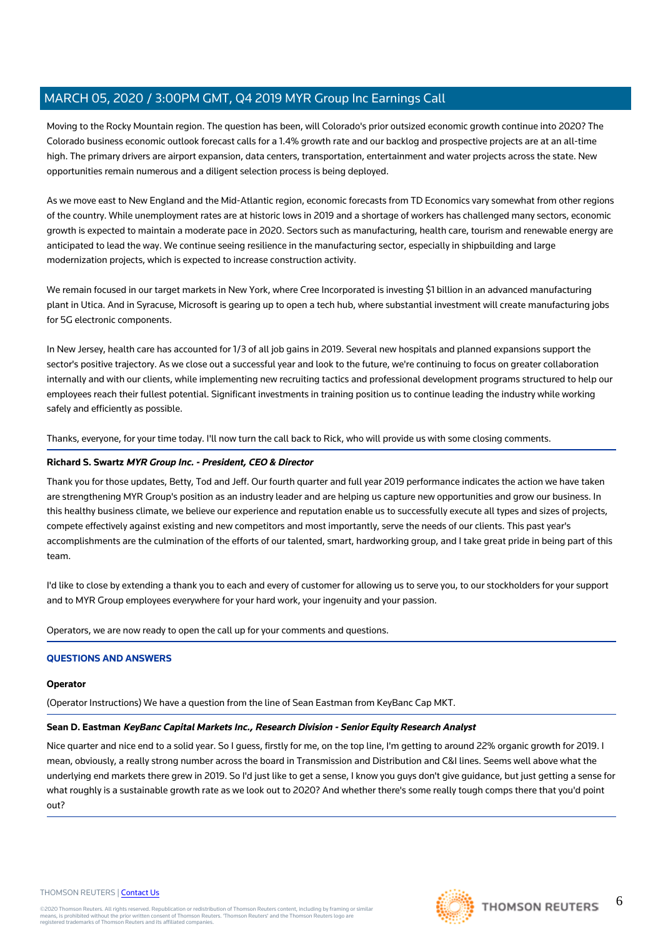Moving to the Rocky Mountain region. The question has been, will Colorado's prior outsized economic growth continue into 2020? The Colorado business economic outlook forecast calls for a 1.4% growth rate and our backlog and prospective projects are at an all-time high. The primary drivers are airport expansion, data centers, transportation, entertainment and water projects across the state. New opportunities remain numerous and a diligent selection process is being deployed.

As we move east to New England and the Mid-Atlantic region, economic forecasts from TD Economics vary somewhat from other regions of the country. While unemployment rates are at historic lows in 2019 and a shortage of workers has challenged many sectors, economic growth is expected to maintain a moderate pace in 2020. Sectors such as manufacturing, health care, tourism and renewable energy are anticipated to lead the way. We continue seeing resilience in the manufacturing sector, especially in shipbuilding and large modernization projects, which is expected to increase construction activity.

We remain focused in our target markets in New York, where Cree Incorporated is investing \$1 billion in an advanced manufacturing plant in Utica. And in Syracuse, Microsoft is gearing up to open a tech hub, where substantial investment will create manufacturing jobs for 5G electronic components.

In New Jersey, health care has accounted for 1/3 of all job gains in 2019. Several new hospitals and planned expansions support the sector's positive trajectory. As we close out a successful year and look to the future, we're continuing to focus on greater collaboration internally and with our clients, while implementing new recruiting tactics and professional development programs structured to help our employees reach their fullest potential. Significant investments in training position us to continue leading the industry while working safely and efficiently as possible.

Thanks, everyone, for your time today. I'll now turn the call back to Rick, who will provide us with some closing comments.

#### **Richard S. Swartz MYR Group Inc. - President, CEO & Director**

Thank you for those updates, Betty, Tod and Jeff. Our fourth quarter and full year 2019 performance indicates the action we have taken are strengthening MYR Group's position as an industry leader and are helping us capture new opportunities and grow our business. In this healthy business climate, we believe our experience and reputation enable us to successfully execute all types and sizes of projects, compete effectively against existing and new competitors and most importantly, serve the needs of our clients. This past year's accomplishments are the culmination of the efforts of our talented, smart, hardworking group, and I take great pride in being part of this team.

I'd like to close by extending a thank you to each and every of customer for allowing us to serve you, to our stockholders for your support and to MYR Group employees everywhere for your hard work, your ingenuity and your passion.

Operators, we are now ready to open the call up for your comments and questions.

#### **QUESTIONS AND ANSWERS**

#### **Operator**

(Operator Instructions) We have a question from the line of Sean Eastman from KeyBanc Cap MKT.

#### **Sean D. Eastman KeyBanc Capital Markets Inc., Research Division - Senior Equity Research Analyst**

Nice quarter and nice end to a solid year. So I guess, firstly for me, on the top line, I'm getting to around 22% organic growth for 2019. I mean, obviously, a really strong number across the board in Transmission and Distribution and C&I lines. Seems well above what the underlying end markets there grew in 2019. So I'd just like to get a sense, I know you guys don't give guidance, but just getting a sense for what roughly is a sustainable growth rate as we look out to 2020? And whether there's some really tough comps there that you'd point out?

#### THOMSON REUTERS | [Contact Us](https://my.thomsonreuters.com/ContactUsNew)

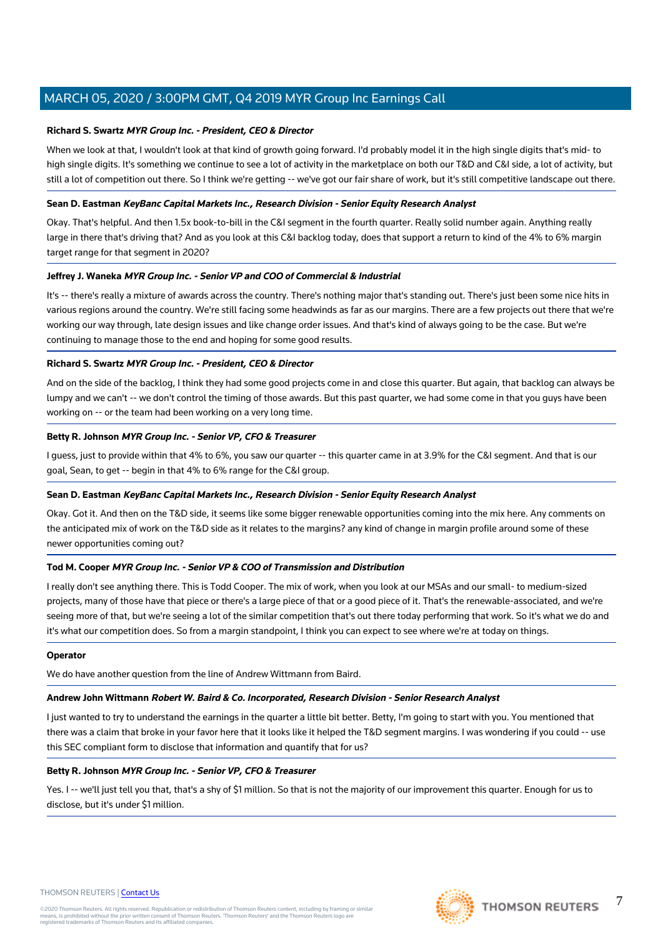#### **Richard S. Swartz MYR Group Inc. - President, CEO & Director**

When we look at that, I wouldn't look at that kind of growth going forward. I'd probably model it in the high single digits that's mid- to high single digits. It's something we continue to see a lot of activity in the marketplace on both our T&D and C&I side, a lot of activity, but still a lot of competition out there. So I think we're getting -- we've got our fair share of work, but it's still competitive landscape out there.

#### **Sean D. Eastman KeyBanc Capital Markets Inc., Research Division - Senior Equity Research Analyst**

Okay. That's helpful. And then 1.5x book-to-bill in the C&I segment in the fourth quarter. Really solid number again. Anything really large in there that's driving that? And as you look at this C&I backlog today, does that support a return to kind of the 4% to 6% margin target range for that segment in 2020?

#### **Jeffrey J. Waneka MYR Group Inc. - Senior VP and COO of Commercial & Industrial**

It's -- there's really a mixture of awards across the country. There's nothing major that's standing out. There's just been some nice hits in various regions around the country. We're still facing some headwinds as far as our margins. There are a few projects out there that we're working our way through, late design issues and like change order issues. And that's kind of always going to be the case. But we're continuing to manage those to the end and hoping for some good results.

#### **Richard S. Swartz MYR Group Inc. - President, CEO & Director**

And on the side of the backlog, I think they had some good projects come in and close this quarter. But again, that backlog can always be lumpy and we can't -- we don't control the timing of those awards. But this past quarter, we had some come in that you guys have been working on -- or the team had been working on a very long time.

#### **Betty R. Johnson MYR Group Inc. - Senior VP, CFO & Treasurer**

I guess, just to provide within that 4% to 6%, you saw our quarter -- this quarter came in at 3.9% for the C&I segment. And that is our goal, Sean, to get -- begin in that 4% to 6% range for the C&I group.

#### **Sean D. Eastman KeyBanc Capital Markets Inc., Research Division - Senior Equity Research Analyst**

Okay. Got it. And then on the T&D side, it seems like some bigger renewable opportunities coming into the mix here. Any comments on the anticipated mix of work on the T&D side as it relates to the margins? any kind of change in margin profile around some of these newer opportunities coming out?

#### **Tod M. Cooper MYR Group Inc. - Senior VP & COO of Transmission and Distribution**

I really don't see anything there. This is Todd Cooper. The mix of work, when you look at our MSAs and our small- to medium-sized projects, many of those have that piece or there's a large piece of that or a good piece of it. That's the renewable-associated, and we're seeing more of that, but we're seeing a lot of the similar competition that's out there today performing that work. So it's what we do and it's what our competition does. So from a margin standpoint, I think you can expect to see where we're at today on things.

#### **Operator**

We do have another question from the line of Andrew Wittmann from Baird.

#### **Andrew John Wittmann Robert W. Baird & Co. Incorporated, Research Division - Senior Research Analyst**

I just wanted to try to understand the earnings in the quarter a little bit better. Betty, I'm going to start with you. You mentioned that there was a claim that broke in your favor here that it looks like it helped the T&D segment margins. I was wondering if you could -- use this SEC compliant form to disclose that information and quantify that for us?

#### **Betty R. Johnson MYR Group Inc. - Senior VP, CFO & Treasurer**

Yes. I -- we'll just tell you that, that's a shy of \$1 million. So that is not the majority of our improvement this quarter. Enough for us to disclose, but it's under \$1 million.

#### THOMSON REUTERS | [Contact Us](https://my.thomsonreuters.com/ContactUsNew)



7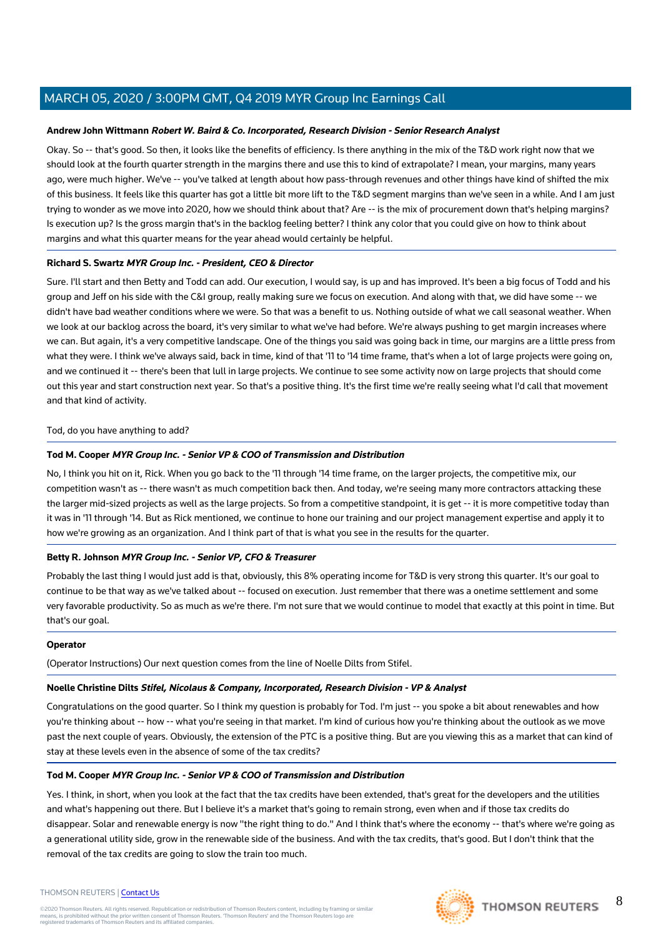#### **Andrew John Wittmann Robert W. Baird & Co. Incorporated, Research Division - Senior Research Analyst**

Okay. So -- that's good. So then, it looks like the benefits of efficiency. Is there anything in the mix of the T&D work right now that we should look at the fourth quarter strength in the margins there and use this to kind of extrapolate? I mean, your margins, many years ago, were much higher. We've -- you've talked at length about how pass-through revenues and other things have kind of shifted the mix of this business. It feels like this quarter has got a little bit more lift to the T&D segment margins than we've seen in a while. And I am just trying to wonder as we move into 2020, how we should think about that? Are -- is the mix of procurement down that's helping margins? Is execution up? Is the gross margin that's in the backlog feeling better? I think any color that you could give on how to think about margins and what this quarter means for the year ahead would certainly be helpful.

#### **Richard S. Swartz MYR Group Inc. - President, CEO & Director**

Sure. I'll start and then Betty and Todd can add. Our execution, I would say, is up and has improved. It's been a big focus of Todd and his group and Jeff on his side with the C&I group, really making sure we focus on execution. And along with that, we did have some -- we didn't have bad weather conditions where we were. So that was a benefit to us. Nothing outside of what we call seasonal weather. When we look at our backlog across the board, it's very similar to what we've had before. We're always pushing to get margin increases where we can. But again, it's a very competitive landscape. One of the things you said was going back in time, our margins are a little press from what they were. I think we've always said, back in time, kind of that '11 to '14 time frame, that's when a lot of large projects were going on, and we continued it -- there's been that lull in large projects. We continue to see some activity now on large projects that should come out this year and start construction next year. So that's a positive thing. It's the first time we're really seeing what I'd call that movement and that kind of activity.

#### Tod, do you have anything to add?

#### **Tod M. Cooper MYR Group Inc. - Senior VP & COO of Transmission and Distribution**

No, I think you hit on it, Rick. When you go back to the '11 through '14 time frame, on the larger projects, the competitive mix, our competition wasn't as -- there wasn't as much competition back then. And today, we're seeing many more contractors attacking these the larger mid-sized projects as well as the large projects. So from a competitive standpoint, it is get -- it is more competitive today than it was in '11 through '14. But as Rick mentioned, we continue to hone our training and our project management expertise and apply it to how we're growing as an organization. And I think part of that is what you see in the results for the quarter.

#### **Betty R. Johnson MYR Group Inc. - Senior VP, CFO & Treasurer**

Probably the last thing I would just add is that, obviously, this 8% operating income for T&D is very strong this quarter. It's our goal to continue to be that way as we've talked about -- focused on execution. Just remember that there was a onetime settlement and some very favorable productivity. So as much as we're there. I'm not sure that we would continue to model that exactly at this point in time. But that's our goal.

#### **Operator**

(Operator Instructions) Our next question comes from the line of Noelle Dilts from Stifel.

## **Noelle Christine Dilts Stifel, Nicolaus & Company, Incorporated, Research Division - VP & Analyst**

Congratulations on the good quarter. So I think my question is probably for Tod. I'm just -- you spoke a bit about renewables and how you're thinking about -- how -- what you're seeing in that market. I'm kind of curious how you're thinking about the outlook as we move past the next couple of years. Obviously, the extension of the PTC is a positive thing. But are you viewing this as a market that can kind of stay at these levels even in the absence of some of the tax credits?

## **Tod M. Cooper MYR Group Inc. - Senior VP & COO of Transmission and Distribution**

Yes. I think, in short, when you look at the fact that the tax credits have been extended, that's great for the developers and the utilities and what's happening out there. But I believe it's a market that's going to remain strong, even when and if those tax credits do disappear. Solar and renewable energy is now "the right thing to do." And I think that's where the economy -- that's where we're going as a generational utility side, grow in the renewable side of the business. And with the tax credits, that's good. But I don't think that the removal of the tax credits are going to slow the train too much.

#### THOMSON REUTERS | [Contact Us](https://my.thomsonreuters.com/ContactUsNew)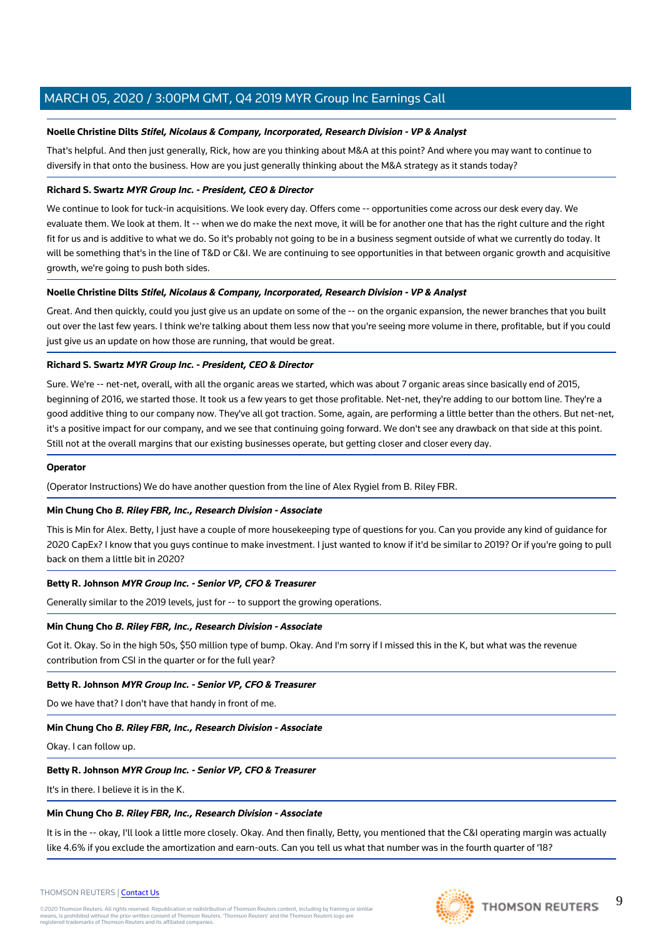#### **Noelle Christine Dilts Stifel, Nicolaus & Company, Incorporated, Research Division - VP & Analyst**

That's helpful. And then just generally, Rick, how are you thinking about M&A at this point? And where you may want to continue to diversify in that onto the business. How are you just generally thinking about the M&A strategy as it stands today?

#### **Richard S. Swartz MYR Group Inc. - President, CEO & Director**

We continue to look for tuck-in acquisitions. We look every day. Offers come -- opportunities come across our desk every day. We evaluate them. We look at them. It -- when we do make the next move, it will be for another one that has the right culture and the right fit for us and is additive to what we do. So it's probably not going to be in a business segment outside of what we currently do today. It will be something that's in the line of T&D or C&I. We are continuing to see opportunities in that between organic growth and acquisitive growth, we're going to push both sides.

#### **Noelle Christine Dilts Stifel, Nicolaus & Company, Incorporated, Research Division - VP & Analyst**

Great. And then quickly, could you just give us an update on some of the -- on the organic expansion, the newer branches that you built out over the last few years. I think we're talking about them less now that you're seeing more volume in there, profitable, but if you could just give us an update on how those are running, that would be great.

#### **Richard S. Swartz MYR Group Inc. - President, CEO & Director**

Sure. We're -- net-net, overall, with all the organic areas we started, which was about 7 organic areas since basically end of 2015, beginning of 2016, we started those. It took us a few years to get those profitable. Net-net, they're adding to our bottom line. They're a good additive thing to our company now. They've all got traction. Some, again, are performing a little better than the others. But net-net, it's a positive impact for our company, and we see that continuing going forward. We don't see any drawback on that side at this point. Still not at the overall margins that our existing businesses operate, but getting closer and closer every day.

#### **Operator**

(Operator Instructions) We do have another question from the line of Alex Rygiel from B. Riley FBR.

#### **Min Chung Cho B. Riley FBR, Inc., Research Division - Associate**

This is Min for Alex. Betty, I just have a couple of more housekeeping type of questions for you. Can you provide any kind of guidance for 2020 CapEx? I know that you guys continue to make investment. I just wanted to know if it'd be similar to 2019? Or if you're going to pull back on them a little bit in 2020?

#### **Betty R. Johnson MYR Group Inc. - Senior VP, CFO & Treasurer**

Generally similar to the 2019 levels, just for -- to support the growing operations.

#### **Min Chung Cho B. Riley FBR, Inc., Research Division - Associate**

Got it. Okay. So in the high 50s, \$50 million type of bump. Okay. And I'm sorry if I missed this in the K, but what was the revenue contribution from CSI in the quarter or for the full year?

#### **Betty R. Johnson MYR Group Inc. - Senior VP, CFO & Treasurer**

Do we have that? I don't have that handy in front of me.

#### **Min Chung Cho B. Riley FBR, Inc., Research Division - Associate**

Okay. I can follow up.

#### **Betty R. Johnson MYR Group Inc. - Senior VP, CFO & Treasurer**

It's in there. I believe it is in the K.

#### **Min Chung Cho B. Riley FBR, Inc., Research Division - Associate**

It is in the -- okay, I'll look a little more closely. Okay. And then finally, Betty, you mentioned that the C&I operating margin was actually like 4.6% if you exclude the amortization and earn-outs. Can you tell us what that number was in the fourth quarter of '18?



#### THOMSON REUTERS | [Contact Us](https://my.thomsonreuters.com/ContactUsNew)